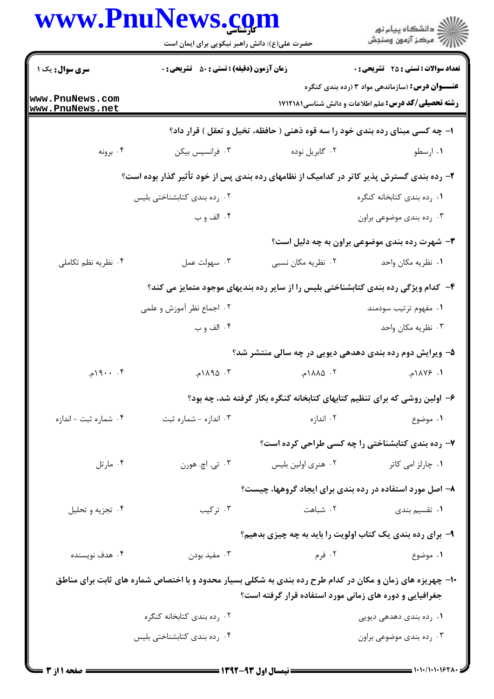|                                    | www.PnuNews.com                                                                                           |                                                                              | ر دانشگاه پيام نور<br>ا∛هرکز آزمون وسنجش                                                                             |
|------------------------------------|-----------------------------------------------------------------------------------------------------------|------------------------------------------------------------------------------|----------------------------------------------------------------------------------------------------------------------|
|                                    | حضرت علی(ع): دانش راهبر نیکویی برای ایمان است                                                             |                                                                              |                                                                                                                      |
| <b>سری سوال :</b> یک ۱             | <b>زمان آزمون (دقیقه) : تستی : 50 ٪ تشریحی : 0</b>                                                        |                                                                              | تعداد سوالات : تستي : 25 - تشريحي : 0                                                                                |
| www.PnuNews.com<br>www.PnuNews.net |                                                                                                           |                                                                              | <b>عنـــوان درس:</b> (سازماندهی مواد ۳ (رده بندی کنگره<br><b>رشته تحصیلی/کد درس:</b> علم اطلاعات و دانش شناسی1۷۱۲۱۸۱ |
|                                    |                                                                                                           | ۱- چه کسی مبنای رده بندی خود را سه قوه ذهنی ( حافظه، تخیل و تعقل ) قرار داد؟ |                                                                                                                      |
| ۰۴ برونه                           | ۰۳ فرانسیس بیکن                                                                                           | ۰۲ گابريل نوده                                                               | ۰۱ ارسطو                                                                                                             |
|                                    | ۲- رده بندی گسترش پذیر کاتر در کدامیک از نظامهای رده بندی پس از خود تأثیر گذار بوده است؟                  |                                                                              |                                                                                                                      |
|                                    | ٠٢ رده بندى كتابشناختى بليس                                                                               |                                                                              | ۰۱ رده بندی کتابخانه کنگره                                                                                           |
|                                    | ۰۴ الف و ب                                                                                                |                                                                              | ۰۳ رده بندی موضوعی براون                                                                                             |
|                                    |                                                                                                           |                                                                              | ۳- شهرت رده بندی موضوعی براون به چه دلیل است؟                                                                        |
| ۰۴ نظریه نظم تکاملی                | ۰۳ سهولت عمل                                                                                              | ۰۲ نظریه مکان نسبی                                                           | ٠١. نظريه مكان واحد                                                                                                  |
|                                    | ۴- کدام ویژگی رده بندی کتابشناختی بلیس را از سایر رده بندیهای موجود متمایز می کند؟                        |                                                                              |                                                                                                                      |
|                                    | ۲. اجماع نظر آموزش و علمی                                                                                 |                                                                              | ۰۱ مفهوم ترتیب سودمند                                                                                                |
|                                    | ۰۴ الف و ب                                                                                                |                                                                              | ۰۳ نظریه مکان واحد                                                                                                   |
|                                    |                                                                                                           | ۵- ویرایش دوم رده بندی دهدهی دیویی در چه سالی منتشر شد؟                      |                                                                                                                      |
| ۰. ۰.۴ م.                          | ۰۳ ۱۸۹۵م.                                                                                                 | ۰۲ ۱۸۸۵م.                                                                    | ۱. ۱۸۷۶م.                                                                                                            |
|                                    |                                                                                                           | ۶– اولین روشی که برای تنظیم کتابهای کتابخانه کنگره بکار گرفته شد، چه بود؟    |                                                                                                                      |
| ۰۴ شماره ثبت - اندازه              | ۰۳ اندازه - شماره ثبت                                                                                     | ۰۲ اندازه                                                                    | ۰۱ موضوع                                                                                                             |
|                                    |                                                                                                           |                                                                              | ۷- رده بندی کتابشناختی را چه کسی طراحی کرده است؟                                                                     |
| ۰۴ مارتل                           | ۰۳ تي. اچ. هورن                                                                                           | ۰۲ هنری اولین بلیس                                                           | ۰۱ چارلز امی کاتر                                                                                                    |
|                                    |                                                                                                           | ۸- اصل مورد استفاده در رده بندی برای ایجاد گروهها، چیست؟                     |                                                                                                                      |
| ۰۴ تجزیه و تحلیل                   | ۰۳ ترکیب                                                                                                  | ۰۲ شباهت                                                                     | ۰۱ تقسی <sub>م</sub> بندی                                                                                            |
|                                    |                                                                                                           | ۹- برای رده بندی یک کتاب اولویت را باید به چه چیزی بدهیم؟                    |                                                                                                                      |
| ۰۴ هدف نویسنده                     | ۰۳ مفید بودن                                                                                              | ۰۲ فرم                                                                       | ۰۱ موضوع                                                                                                             |
|                                    | ۱۰- چهریزه های زمان و مکان در کدام طرح رده بندی به شکلی بسیار محدود و با اختصاص شماره های ثابت برای مناطق | جغرافیایی و دوره های زمانی مورد استفاده قرار گرفته است؟                      |                                                                                                                      |
|                                    | ۰۲ رده بندی کتابخانه کنگره                                                                                |                                                                              | ۰۱ رده بندی دهدهی دیویی                                                                                              |
|                                    | ۰۴ رده بندی کتابشناختی بلیس                                                                               |                                                                              | ۰۳ رده بندی موضوعی براون                                                                                             |
|                                    |                                                                                                           |                                                                              |                                                                                                                      |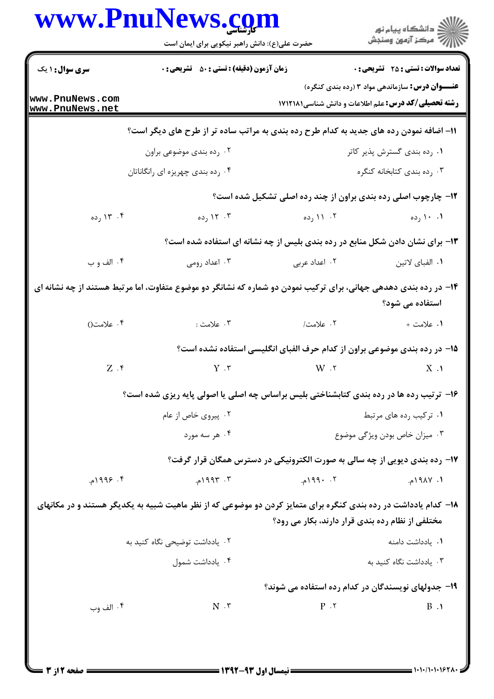|                                    | www.PnuNews.com<br>حضرت علی(ع): دانش راهبر نیکویی برای ایمان است                                                 |                                                               | ر<br>دانشڪاه پيام نور)<br>ا∛ مرڪز آزمون وسنڊش          |  |
|------------------------------------|------------------------------------------------------------------------------------------------------------------|---------------------------------------------------------------|--------------------------------------------------------|--|
| <b>سری سوال : ۱ یک</b>             | <b>زمان آزمون (دقیقه) : تستی : 50 ٪ تشریحی : 0</b>                                                               |                                                               | <b>تعداد سوالات : تستي : 25 - تشريحي : 0</b>           |  |
| www.PnuNews.com<br>www.PnuNews.net |                                                                                                                  | <b>رشته تحصیلی/کد درس:</b> علم اطلاعات و دانش شناسی1۷۱۲۱۸۱    | <b>عنـــوان درس:</b> سازماندهی مواد ۳ (رده بندی کنگره) |  |
|                                    | 11- اضافه نمودن رده های جدید به کدام طرح رده بندی به مراتب ساده تر از طرح های دیگر است؟                          |                                                               |                                                        |  |
|                                    | ۰۲ رده بندی موضوعی براون                                                                                         |                                                               | ۰۱ رده بندی گسترش پذیر کاتر                            |  |
|                                    | ۰۴ رده بندی چهریزه ای رانگاناتان                                                                                 |                                                               | ۰۳ رده بندی کتابخانه کنگره                             |  |
|                                    |                                                                                                                  | ۱۲- چارچوب اصلی رده بندی براون از چند رده اصلی تشکیل شده است؟ |                                                        |  |
| ۰۴ (ده                             | ۰۳ (۱۲ رده                                                                                                       | ۰۲ (۱ رده                                                     | ۰.۱۰ رده                                               |  |
|                                    | ۱۳- برای نشان دادن شکل منابع در رده بندی بلیس از چه نشانه ای استفاده شده است؟                                    |                                                               |                                                        |  |
| ۰۴ الف و ب                         | ۰۳ اعداد رومی                                                                                                    | ۰۲ اعداد عربی                                                 | ٠١. الفباي لاتين                                       |  |
|                                    | ۱۴- در رده بندی دهدهی جهانی، برای ترکیب نمودن دو شماره که نشانگر دو موضوع متفاوت، اما مرتبط هستند از چه نشانه ای |                                                               | استفاده می شود؟                                        |  |
| ۰۴ علامت()                         | ۰۳ علامت :                                                                                                       | ۲. علامت/                                                     | ١. علامت +                                             |  |
|                                    | ۱۵– در رده بندی موضوعی براون از کدام حرف الفبای انگلیسی استفاده نشده است؟                                        |                                                               |                                                        |  |
| $Z \cdot$                          | $Y \cdot r$                                                                                                      | $W \cdot Y$                                                   | $X \cdot Y$                                            |  |
|                                    | ۱۶- ترتیب رده ها در رده بندی کتابشناختی بلیس براساس چه اصلی یا اصولی پایه ریزی شده است؟                          |                                                               |                                                        |  |
|                                    | ۰۲ پیروی خاص از عام                                                                                              |                                                               | ٠١ تركيب رده هاي مرتبط                                 |  |
|                                    | ۰۴ هر سه مورد                                                                                                    |                                                               | ۰۳ میزان خاص بودن ویژگی موضوع                          |  |
|                                    | ۱۷- رده بندی دیویی از چه سالی به صورت الکترونیکی در دسترس همگان قرار گرفت؟                                       |                                                               |                                                        |  |
| ۰۴ ۱۹۹۶م.                          | ۰۳ ۱۹۹۳م.                                                                                                        | $1.$ . 1994م.                                                 | ۰۱. ۱۹۸۷م.                                             |  |
|                                    | ۱۸– کدام یادداشت در رده بندی کنگره برای متمایز کردن دو موضوعی که از نظر ماهیت شبیه به یکدیگر هستند و در مکانهای  | مختلفی از نظام رده بندی قرار دارند، بکار می رود؟              |                                                        |  |
| ۰۲ يادداشت توضيحي نگاه كنيد به     |                                                                                                                  | ٠١. يادداشت دامنه                                             |                                                        |  |
|                                    | ۰۴ یادداشت شمول                                                                                                  |                                                               | ۰۳ يادداشت نگاه كنيد به                                |  |
|                                    |                                                                                                                  | ۱۹- جدولهای نویسندگان در کدام رده استفاده می شوند؟            |                                                        |  |
| ۰۴ الف وب                          | $N \cdot r$                                                                                                      | $P \cdot Y$                                                   | $B \cdot \mathcal{A}$                                  |  |